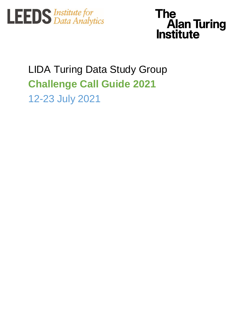



# LIDA Turing Data Study Group **Challenge Call Guide 2021** 12-23 July 2021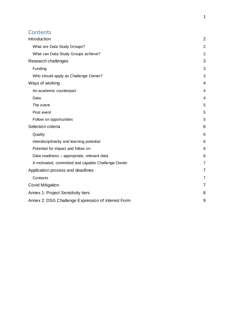#### **Contents**

| Introduction                                       | $\overline{2}$ |
|----------------------------------------------------|----------------|
| What are Data Study Groups?                        | $\overline{a}$ |
| What can Data Study Groups achieve?                | $\overline{c}$ |
| Research challenges                                | 3              |
| Funding                                            | 3              |
| Who should apply as Challenge Owner?               | 3              |
| Ways of working                                    | 4              |
| An academic counterpart                            | 4              |
| Data                                               | 4              |
| The event                                          | 5              |
| Post event                                         | 5              |
| Follow on opportunities                            | 5              |
| Selection criteria                                 | 6              |
| Quality                                            | 6              |
| Interdisciplinarity and learning potential         | 6              |
| Potential for impact and follow on                 | 6              |
| Data readiness - appropriate, relevant data        | 6              |
| A motivated, committed and capable Challenge Owner | 7              |
| Application process and deadlines                  | 7              |
| Contacts                                           | 7              |
| <b>Covid Mitigation</b>                            | 7              |
| Annex 1: Project Sensitivity tiers                 | 8              |
| Annex 2: DSG Challenge Expression of Interest Form | 9              |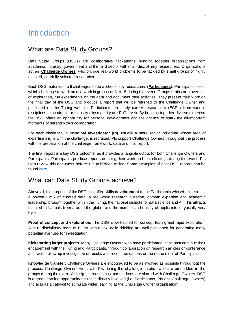## <span id="page-2-0"></span>**Introduction**

#### <span id="page-2-1"></span>What are Data Study Groups?

Data Study Groups (DSGs) are 'collaborative hackathons' bringing together organisations from academia, industry, government and the third sector with multi-disciplinary researchers. Organisations act as '**Challenge Owners**' who provide real-world problems to be tackled by small groups of highly talented, carefully selected researchers.

Each DSG features 4 to 6 challenges to be worked on by researchers (**Participants**). Participants select which challenge to work on and work in groups of 8 to 15 during the event. Groups brainstorm avenues of exploration, run experiments on the data and document their activities. They present their work on the final day of the DSG and produce a report that will be returned to the Challenge Owner and published on the Turing website. Participants are early career researchers (ECRs) from various disciplines in academia or industry (the majority are PhD level). By bringing together diverse expertise the DSG offers an opportunity for personal development and the chance to spark the all-important moments of serendipitous collaboration.

For each challenge, a **Principal Investigator (PI)**, usually a more senior individual whose area of expertise aligns with the challenge, is recruited. PIs support Challenge Owners throughout the process with the preparation of the challenge framework, data and final report.

The final report is a key DSG outcome, as it provides a tangible output for both Challenge Owners and Participants. Participants produce reports detailing their work and main findings during the event. PIs then review this document before it is published online. Some examples of past DSG reports can be found [here.](https://www.turing.ac.uk/collaborate-turing/data-study-groups)

#### <span id="page-2-2"></span>What can Data Study Groups achieve?

Above all, the purpose of the DSG is to offer **skills development** to the Participants who will experience a powerful mix of curated data, a real-world research question, domain expertise and academic leadership, brought together within the Turing, the national institute for data science and AI. This attracts talented individuals from around the globe, and the number and quality of applicants is typically very high.

**Proof of concept and exploration.** The DSG is well-suited for concept testing and rapid exploration. A multi-disciplinary team of ECRs with quick, agile thinking are well-positioned for generating many potential avenues for investigation.

**Kickstarting larger projects.** Many Challenge Owners who have participated in the past continue their engagement with the Turing and Participants, through collaboration on research articles or conference abstracts, follow-up investigation of results and recommendations or the recruitment of Participants.

**Knowledge transfer.** Challenge Owners are encouraged to be as involved as possible throughout the process. Challenge Owners work with PIs during the challenge curation and are embedded in the groups during the event. All insights, reasonings and methods are shared with Challenge Owners. DSG is a great learning opportunity for those directly involved (i.e. Participants, PIs and Challenge Owners) and acts as a catalyst to stimulate wider learning at the Challenge Owner organisation.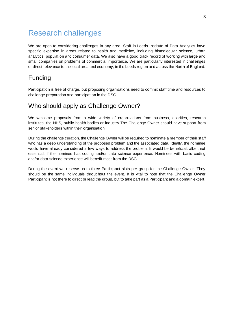## <span id="page-3-0"></span>Research challenges

We are open to considering challenges in any area. Staff in Leeds Institute of Data Analytics have specific expertise in areas related to health and medicine, including biomolecular science, urban analytics, population and consumer data. We also have a good track record of working with large and small companies on problems of commercial importance. We are particularly interested in challenges or direct relevance to the local area and economy, in the Leeds region and across the North of England.

#### <span id="page-3-1"></span>Funding

Participation is free of charge, but proposing organisations need to commit staff time and resources to challenge preparation and participation in the DSG.

#### <span id="page-3-2"></span>Who should apply as Challenge Owner?

We welcome proposals from a wide variety of organisations from business, charities, research institutes, the NHS, public health bodies or industry The Challenge Owner should have support from senior stakeholders within their organisation.

During the challenge curation, the Challenge Owner will be required to nominate a member of their staff who has a deep understanding of the proposed problem and the associated data. Ideally, the nominee would have already considered a few ways to address the problem. It would be beneficial, albeit not essential, if the nominee has coding and/or data science experience. Nominees with basic coding and/or data science experience will benefit most from the DSG.

During the event we reserve up to three Participant slots per group for the Challenge Owner. They should be the same individuals throughout the event. It is vital to note that the Challenge Owner Participant is not there to direct or lead the group, but to take part as a Participant and a domain expert.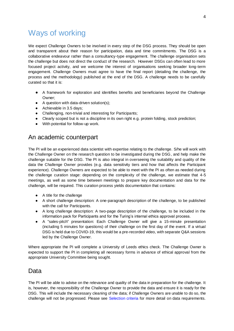## <span id="page-4-0"></span>Ways of working

We expect Challenge Owners to be involved in every step of the DSG process. They should be open and transparent about their reason for participation, data and time commitments. The DSG is a collaborative endeavour rather than a consultancy-type engagement. The challenge organisation sets the challenge but does not direct the conduct of the research. However DSGs can often lead to more focused project activity, and we welcome the interest of organisations seeking broader long-term engagement. Challenge Owners must agree to have the final report (detailing the challenge, the process and the methodology) published at the end of the DSG. A challenge needs to be carefully curated so that it is:

- A framework for exploration and identifies benefits and beneficiaries beyond the Challenge Owner;
- A question with data-driven solution(s);
- Achievable in 3.5 days;
- Challenging, non-trivial and interesting for Participants;
- Clearly scoped but is not a discipline in its own right e.g. protein folding, stock prediction;
- With potential for follow-up work.

#### <span id="page-4-1"></span>An academic counterpart

The PI will be an experienced data scientist with expertise relating to the challenge. S/he will work with the Challenge Owner on the research question to be investigated during the DSG, and help make the challenge suitable for the DSG. The PI is also integral in overseeing the suitability and quality of the data the Challenge Owner provides (e.g. data sensitivity tiers and how that affects the Participant experience). Challenge Owners are expected to be able to meet with the PI as often as needed during the challenge curation stage: depending on the complexity of the challenge, we estimate that 4-5 meetings, as well as some time between meetings to prepare key documentation and data for the challenge, will be required. This curation process yields documentation that contains:

- A title for the challenge
- A short challenge description: A one-paragraph description of the challenge, to be published with the call for Participants.
- A long challenge description: A two-page description of the challenge, to be included in the information pack for Participants and for the Turing's internal ethics approval process.
- A "sales-pitch" presentation: Each Challenge Owner will give a 15-minute presentation (including 5 minutes for questions) of their challenge on the first day of the event. If a virtual DSG is held due to COVID-19, this would be a pre-recorded video, with separate Q&A sessions led by the Challenge Owner.

Where appropriate the PI will complete a University of Leeds ethics check. The Challenge Owner is expected to support the PI in completing all necessary forms in advance of ethical approval from the appropriate University Committee being sought.

#### <span id="page-4-2"></span>Data

The PI will be able to advise on the relevance and quality of the data in preparation for the challenge. It is, however, the responsibility of the Challenge Owner to provide the data and ensure it is ready for the DSG. This will include the necessary cleaning of the data; if Challenge Owners are unable to do so, the challenge will not be progressed. Please see [Selection criteria](#page-6-0) for more detail on data requirements.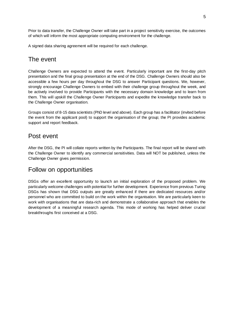Prior to data transfer, the Challenge Owner will take part in a project sensitivity exercise, the outcomes of which will inform the most appropriate computing environment for the challenge.

A signed data sharing agreement will be required for each challenge.

#### <span id="page-5-0"></span>The event

Challenge Owners are expected to attend the event. Particularly important are the first-day pitch presentation and the final group presentation at the end of the DSG. Challenge Owners should also be accessible a few hours per day throughout the DSG to answer Participant questions. We, however, strongly encourage Challenge Owners to embed with their challenge group throughout the week, and be actively involved to provide Participants with the necessary domain knowledge and to learn from them. This will upskill the Challenge Owner Participants and expedite the knowledge transfer back to the Challenge Owner organisation.

Groups consist of 8-15 data scientists (PhD level and above). Each group has a facilitator (invited before the event from the applicant pool) to support the organisation of the group; the PI provides academic support and report feedback.

#### <span id="page-5-1"></span>Post event

After the DSG, the PI will collate reports written by the Participants. The final report will be shared with the Challenge Owner to identify any commercial sensitivities. Data will NOT be published, unless the Challenge Owner gives permission.

#### <span id="page-5-2"></span>Follow on opportunities

DSGs offer an excellent opportunity to launch an initial exploration of the proposed problem. We particularly welcome challenges with potential for further development. Experience from previous Turing DSGs has shown that DSG outputs are greatly enhanced if there are dedicated resources and/or personnel who are committed to build on the work within the organisation. We are particularly keen to work with organisations that are data-rich and demonstrate a collaborative approach that enables the development of a meaningful research agenda. This mode of working has helped deliver crucial breakthroughs first conceived at a DSG.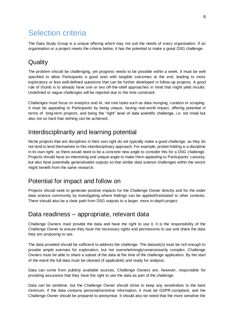## <span id="page-6-0"></span>Selection criteria

The Data Study Group is a unique offering which may not suit the needs of every organisation. If an organisation or a project meets the criteria below, it has the potential to make a great DSG challenge.

#### <span id="page-6-1"></span>**Quality**

The problem should be challenging, yet progress needs to be possible within a week. It must be well specified to allow Participants a good start with tangible outcomes at the end, leading to more exploratory or less well-defined questions that can be further developed in follow-up projects. A good rule of thumb is to already have one or two off-the-shelf approaches in mind that might yield results. Undefined or vague challenges will be rejected due to the time constraint.

Challenges must focus on analytics and AI, not rote tasks such as data munging, curation or scraping. It must be appealing to Participants by being unique, having real-world impact, offering potential in terms of long-term projects, and being the "right" level of data scientific challenge, i.e. not trivial but also not so hard that nothing can be achieved.

#### <span id="page-6-2"></span>Interdisciplinarity and learning potential

Niche projects that are disciplines in their own right do not typically make a good challenge, as they do not tend to lend themselves to this interdisciplinary approach. For example, protein folding is a discipline in its own right, so there would need to be a concrete new angle to consider this for a DSG challenge. Projects should have an interesting and unique angle to make them appealing to Participants' curiosity, but also have potentially generalisable outputs so that similar data science challenges within the sector might benefit from the same research.

#### <span id="page-6-3"></span>Potential for impact and follow on

Projects should seek to generate positive impacts for the Challenge Owner directly and for the wider data science community by investigating where findings can be applied/translated to other contexts. There should also be a clear path from DSG outputs to a larger, more in-depth project.

#### <span id="page-6-4"></span>Data readiness – appropriate, relevant data

Challenge Owners must provide the data and have the right to use it. It is the responsibility of the Challenge Owner to ensure they have the necessary rights and permissions to use and share the data they are proposing to use.

The data provided should be sufficient to address the challenge. The dataset(s) must be rich enough to provide ample avenues for exploration, but not overwhelmingly/unnecessarily complex. Challenge Owners must be able to share a subset of the data at the time of the challenge application. By the start of the event the full data must be cleaned (if applicable) and ready for analysis.

Data can come from publicly available sources, Challenge Owners are, however, responsible for providing assurance that they have the right to use the data as part of the challenge.

Data can be sensitive, but the Challenge Owner should strive to keep any sensitivities to the bare minimum. If the data contains personal/sensitive information, it must be GDPR-compliant, and the Challenge Owner should be prepared to anonymise. It should also be noted that the more sensitive the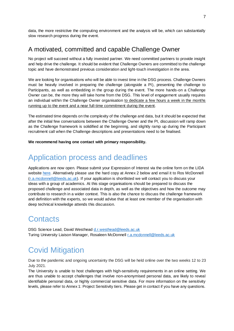data, the more restrictive the computing environment and the analysis will be, which can substantially slow research progress during the event.

#### <span id="page-7-0"></span>A motivated, committed and capable Challenge Owner

No project will succeed without a fully invested partner. We need committed partners to provide insight and help drive the challenge. It should be evident that Challenge Owners are committed to the challenge topic and have demonstrated previous consideration and light-touch investigation in the area.

We are looking for organisations who will be able to invest time in the DSG process. Challenge Owners must be heavily involved in preparing the challenge (alongside a PI), presenting the challenge to Participants, as well as embedding in the group during the event. The more hands-on a Challenge Owner can be, the more they will take home from the DSG. This level of engagement usually requires an individual within the Challenge Owner organisation to dedicate a few hours a week in the months running up to the event and a near full-time commitment during the event.

The estimated time depends on the complexity of the challenge and data, but it should be expected that after the initial few conversations between the Challenge Owner and the PI, discussion will ramp down as the Challenge framework is solidified at the beginning, and slightly ramp up during the Participant recruitment call when the Challenge descriptions and presentations need to be finalised.

<span id="page-7-1"></span>**We recommend having one contact with primary responsibility.** 

## Application process and deadlines

Applications are now open. Please submit your Expression of Interest via the online form on the LIDA websit[e here.](https://lida.leeds.ac.uk/partnerships/lida-partners/the-alan-turing-institute/turing-data-study-group-at-lida/) Alternatively please use the hard copy at Annex 2 below and email it to Ros McDonnell [\(r.a.mcdonnell@leeds.ac.uk\)](mailto:r.a.mcdonnell@leeds.ac.uk). If your application is shortlisted we will contact you to discuss your ideas with a group of academics. At this stage organisations should be prepared to discuss the proposed challenge and associated data in depth, as well as the objectives and how the outcome may contribute to research in a wider context. This is also the chance to discuss the challenge framework and definition with the experts, so we would advise that at least one member of the organisation with deep technical knowledge attends this discussion.

### <span id="page-7-2"></span>**Contacts**

DSG Science Lead, David Westhead [d.r.westhead@leeds.ac.uk](mailto:d.r.westhead@leeds.ac.uk) Turing University Liaison Manager, Rosaleen McDonnell *r.a.mcdonnell@leeds.ac.uk* 

## <span id="page-7-3"></span>Covid Mitigation

Due to the pandemic and ongoing uncertainty the DSG will be held online over the two weeks 12 to 23 July 2021.

The University is unable to host challenges with high-sensitivity requirements in an online setting. We are thus unable to accept challenges that involve non-anonymised personal data, are likely to reveal identifiable personal data, or highly commercial sensitive data. For more information on the sensitivity levels, please refer to Annex 1: Project Sensitivity tiers. Please get in contact if you have any questions.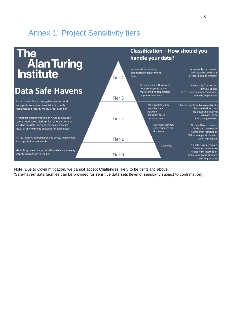## <span id="page-8-0"></span>Annex 1: Project Sensitivity tiers



Note: Due to Covid mitigation, we cannot accept Challenges likely to be tier 3 and above.

'Safe-haven' data facilities can be provided for sensitive data sets (level of sensitivity subject to confirmation).